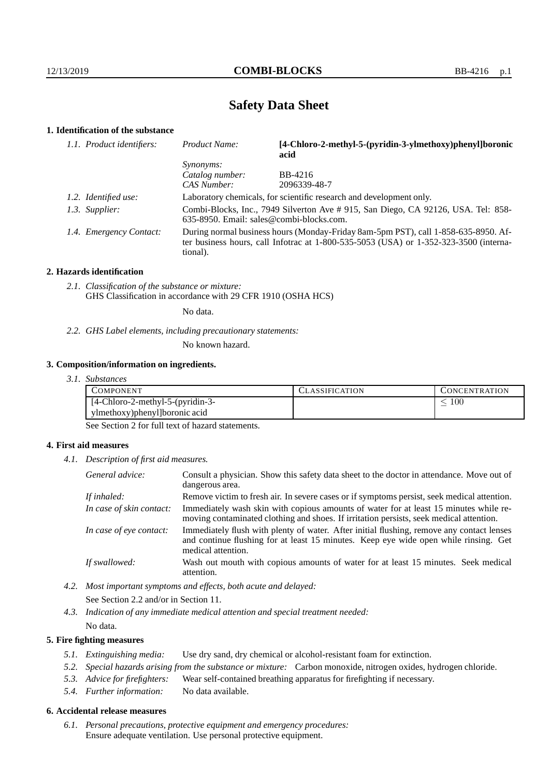# **Safety Data Sheet**

# **1. Identification of the substance**

| 1.1. Product identifiers: | Product Name:                                                                                                                                                                               | [4-Chloro-2-methyl-5-(pyridin-3-ylmethoxy)phenyl]boronic<br>acid    |  |  |
|---------------------------|---------------------------------------------------------------------------------------------------------------------------------------------------------------------------------------------|---------------------------------------------------------------------|--|--|
|                           | <i>Synonyms:</i>                                                                                                                                                                            |                                                                     |  |  |
|                           | Catalog number:                                                                                                                                                                             | BB-4216                                                             |  |  |
|                           | CAS Number:                                                                                                                                                                                 | 2096339-48-7                                                        |  |  |
| 1.2. Identified use:      |                                                                                                                                                                                             | Laboratory chemicals, for scientific research and development only. |  |  |
| 1.3. Supplier:            | Combi-Blocks, Inc., 7949 Silverton Ave # 915, San Diego, CA 92126, USA. Tel: 858-<br>635-8950. Email: sales@combi-blocks.com.                                                               |                                                                     |  |  |
| 1.4. Emergency Contact:   | During normal business hours (Monday-Friday 8am-5pm PST), call 1-858-635-8950. Af-<br>ter business hours, call Infotrac at $1-800-535-5053$ (USA) or $1-352-323-3500$ (interna-<br>tional). |                                                                     |  |  |

#### **2. Hazards identification**

*2.1. Classification of the substance or mixture:* GHS Classification in accordance with 29 CFR 1910 (OSHA HCS)

No data.

## *2.2. GHS Label elements, including precautionary statements:*

No known hazard.

#### **3. Composition/information on ingredients.**

|  | 3. I. | <i>Substances</i> |
|--|-------|-------------------|
|--|-------|-------------------|

| COMPONENT                           | LASSIFICATION. | CONCENTRATION. |
|-------------------------------------|----------------|----------------|
| $[4$ -Chloro-2-methyl-5-(pyridin-3- |                | 100            |
| ylmethoxy) phenyl [boronic acid     |                |                |

See Section 2 for full text of hazard statements.

## **4. First aid measures**

*4.1. Description of first aid measures.*

| General advice:          | Consult a physician. Show this safety data sheet to the doctor in attendance. Move out of<br>dangerous area.                                                                                            |
|--------------------------|---------------------------------------------------------------------------------------------------------------------------------------------------------------------------------------------------------|
| If inhaled:              | Remove victim to fresh air. In severe cases or if symptoms persist, seek medical attention.                                                                                                             |
| In case of skin contact: | Immediately wash skin with copious amounts of water for at least 15 minutes while re-<br>moving contaminated clothing and shoes. If irritation persists, seek medical attention.                        |
| In case of eye contact:  | Immediately flush with plenty of water. After initial flushing, remove any contact lenses<br>and continue flushing for at least 15 minutes. Keep eye wide open while rinsing. Get<br>medical attention. |
| If swallowed:            | Wash out mouth with copious amounts of water for at least 15 minutes. Seek medical<br>attention.                                                                                                        |

*4.2. Most important symptoms and effects, both acute and delayed:* See Section 2.2 and/or in Section 11.

*4.3. Indication of any immediate medical attention and special treatment needed:* No data.

## **5. Fire fighting measures**

- *5.1. Extinguishing media:* Use dry sand, dry chemical or alcohol-resistant foam for extinction.
- *5.2. Special hazards arising from the substance or mixture:* Carbon monoxide, nitrogen oxides, hydrogen chloride.
- *5.3. Advice for firefighters:* Wear self-contained breathing apparatus for firefighting if necessary.
- *5.4. Further information:* No data available.

## **6. Accidental release measures**

*6.1. Personal precautions, protective equipment and emergency procedures:* Ensure adequate ventilation. Use personal protective equipment.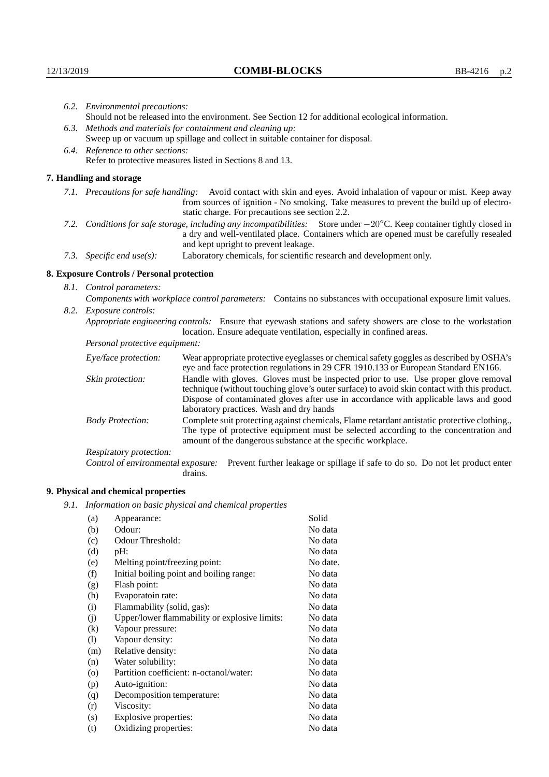|                                   | 6.2. Environmental precautions:                                                                                                                                                                                                                                     |                                                                                                                                                                                        |  |  |
|-----------------------------------|---------------------------------------------------------------------------------------------------------------------------------------------------------------------------------------------------------------------------------------------------------------------|----------------------------------------------------------------------------------------------------------------------------------------------------------------------------------------|--|--|
|                                   | Should not be released into the environment. See Section 12 for additional ecological information.                                                                                                                                                                  |                                                                                                                                                                                        |  |  |
|                                   | 6.3. Methods and materials for containment and cleaning up:                                                                                                                                                                                                         |                                                                                                                                                                                        |  |  |
|                                   | Sweep up or vacuum up spillage and collect in suitable container for disposal.                                                                                                                                                                                      |                                                                                                                                                                                        |  |  |
| 6.4. Reference to other sections: |                                                                                                                                                                                                                                                                     |                                                                                                                                                                                        |  |  |
|                                   |                                                                                                                                                                                                                                                                     | Refer to protective measures listed in Sections 8 and 13.                                                                                                                              |  |  |
|                                   | 7. Handling and storage                                                                                                                                                                                                                                             |                                                                                                                                                                                        |  |  |
|                                   | 7.1. Precautions for safe handling: Avoid contact with skin and eyes. Avoid inhalation of vapour or mist. Keep away<br>from sources of ignition - No smoking. Take measures to prevent the build up of electro-<br>static charge. For precautions see section 2.2.  |                                                                                                                                                                                        |  |  |
|                                   | 7.2. Conditions for safe storage, including any incompatibilities: Store under $-20^{\circ}$ C. Keep container tightly closed in<br>a dry and well-ventilated place. Containers which are opened must be carefully resealed<br>and kept upright to prevent leakage. |                                                                                                                                                                                        |  |  |
|                                   | 7.3. Specific end use(s):                                                                                                                                                                                                                                           | Laboratory chemicals, for scientific research and development only.                                                                                                                    |  |  |
|                                   | 8. Exposure Controls / Personal protection                                                                                                                                                                                                                          |                                                                                                                                                                                        |  |  |
|                                   | 8.1. Control parameters:                                                                                                                                                                                                                                            |                                                                                                                                                                                        |  |  |
|                                   | Components with workplace control parameters: Contains no substances with occupational exposure limit values.                                                                                                                                                       |                                                                                                                                                                                        |  |  |
|                                   | 8.2. Exposure controls:                                                                                                                                                                                                                                             |                                                                                                                                                                                        |  |  |
|                                   |                                                                                                                                                                                                                                                                     | Appropriate engineering controls: Ensure that eyewash stations and safety showers are close to the workstation<br>location. Ensure adequate ventilation, especially in confined areas. |  |  |
|                                   | Personal protective equipment:                                                                                                                                                                                                                                      |                                                                                                                                                                                        |  |  |
|                                   | Eye/face protection:                                                                                                                                                                                                                                                | Wear appropriate protective eyeglasses or chemical safety goggles as described by OSHA's<br>eye and face protection regulations in 29 CFR 1910.133 or European Standard EN166.         |  |  |
|                                   | Skin protection:                                                                                                                                                                                                                                                    | Handle with gloves. Gloves must be inspected prior to use. Use proper glove removal<br>technique (without touching glove's outer surface) to avoid skin contact with this product.     |  |  |

| Eye/face protection:                                                                                                                                                                                                                                                            | Wear appropriate protective eyeglasses or chemical safety goggles as described by OSHA's<br>eye and face protection regulations in 29 CFR 1910.133 or European Standard EN166.                                                                                                                                         |  |
|---------------------------------------------------------------------------------------------------------------------------------------------------------------------------------------------------------------------------------------------------------------------------------|------------------------------------------------------------------------------------------------------------------------------------------------------------------------------------------------------------------------------------------------------------------------------------------------------------------------|--|
| Skin protection:                                                                                                                                                                                                                                                                | Handle with gloves. Gloves must be inspected prior to use. Use proper glove removal<br>technique (without touching glove's outer surface) to avoid skin contact with this product.<br>Dispose of contaminated gloves after use in accordance with applicable laws and good<br>laboratory practices. Wash and dry hands |  |
| Complete suit protecting against chemicals, Flame retardant antistatic protective clothing.,<br><b>Body Protection:</b><br>The type of protective equipment must be selected according to the concentration and<br>amount of the dangerous substance at the specific workplace. |                                                                                                                                                                                                                                                                                                                        |  |
| Respiratory protection:                                                                                                                                                                                                                                                         |                                                                                                                                                                                                                                                                                                                        |  |
| Control of environmental exposure:                                                                                                                                                                                                                                              | Prevent further leakage or spillage if safe to do so. Do not let product enter<br>drains.                                                                                                                                                                                                                              |  |

# **9. Physical and chemical properties**

*9.1. Information on basic physical and chemical properties*

| (a)     | Appearance:                                   | Solid    |
|---------|-----------------------------------------------|----------|
| (b)     | Odour:                                        | No data  |
| (c)     | Odour Threshold:                              | No data  |
| (d)     | pH:                                           | No data  |
| (e)     | Melting point/freezing point:                 | No date. |
| (f)     | Initial boiling point and boiling range:      | No data  |
| (g)     | Flash point:                                  | No data  |
| (h)     | Evaporatoin rate:                             | No data  |
| (i)     | Flammability (solid, gas):                    | No data  |
| (j)     | Upper/lower flammability or explosive limits: | No data  |
| (k)     | Vapour pressure:                              | No data  |
| (1)     | Vapour density:                               | No data  |
| (m)     | Relative density:                             | No data  |
| (n)     | Water solubility:                             | No data  |
| $\circ$ | Partition coefficient: n-octanol/water:       | No data  |
| (p)     | Auto-ignition:                                | No data  |
| (q)     | Decomposition temperature:                    | No data  |
| (r)     | Viscosity:                                    | No data  |
| (s)     | Explosive properties:                         | No data  |
| (t)     | Oxidizing properties:                         | No data  |
|         |                                               |          |